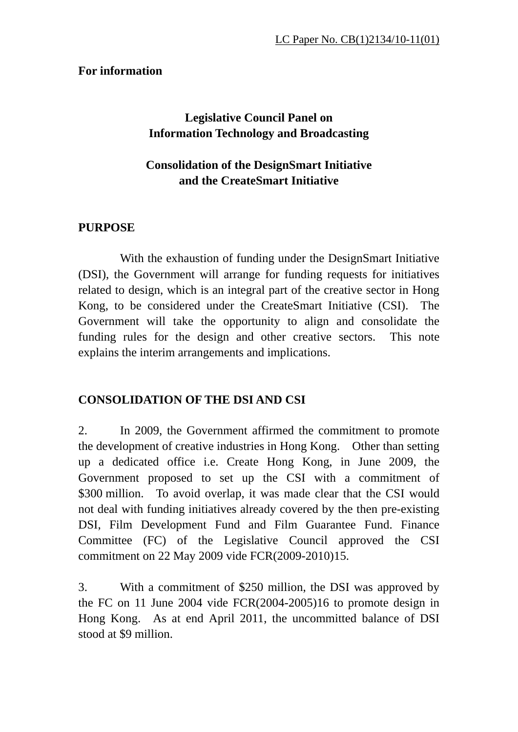## **For information**

# **Legislative Council Panel on Information Technology and Broadcasting**

## **Consolidation of the DesignSmart Initiative and the CreateSmart Initiative**

## **PURPOSE**

With the exhaustion of funding under the DesignSmart Initiative (DSI), the Government will arrange for funding requests for initiatives related to design, which is an integral part of the creative sector in Hong Kong, to be considered under the CreateSmart Initiative (CSI). The Government will take the opportunity to align and consolidate the funding rules for the design and other creative sectors. This note explains the interim arrangements and implications.

## **CONSOLIDATION OF THE DSI AND CSI**

2. In 2009, the Government affirmed the commitment to promote the development of creative industries in Hong Kong. Other than setting up a dedicated office i.e. Create Hong Kong, in June 2009, the Government proposed to set up the CSI with a commitment of \$300 million. To avoid overlap, it was made clear that the CSI would not deal with funding initiatives already covered by the then pre-existing DSI, Film Development Fund and Film Guarantee Fund. Finance Committee (FC) of the Legislative Council approved the CSI commitment on 22 May 2009 vide FCR(2009-2010)15.

3. With a commitment of \$250 million, the DSI was approved by the FC on 11 June 2004 vide FCR(2004-2005)16 to promote design in Hong Kong. As at end April 2011, the uncommitted balance of DSI stood at \$9 million.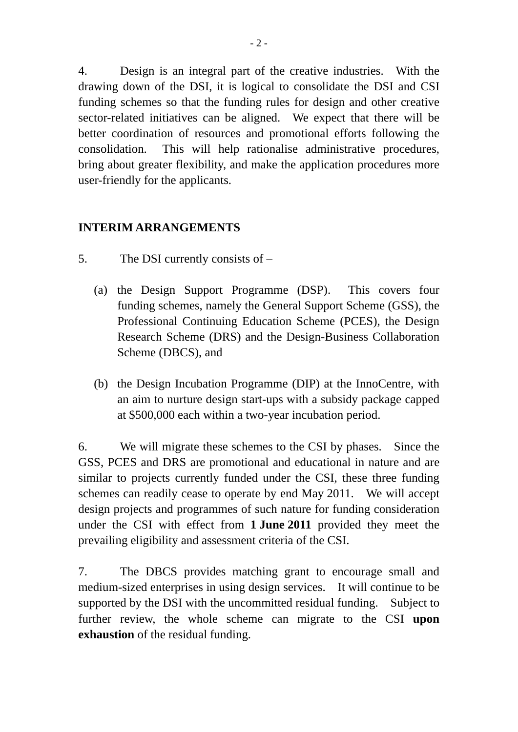4. Design is an integral part of the creative industries. With the drawing down of the DSI, it is logical to consolidate the DSI and CSI funding schemes so that the funding rules for design and other creative sector-related initiatives can be aligned. We expect that there will be better coordination of resources and promotional efforts following the consolidation. This will help rationalise administrative procedures, bring about greater flexibility, and make the application procedures more user-friendly for the applicants.

## **INTERIM ARRANGEMENTS**

- 5. The DSI currently consists of
	- (a) the Design Support Programme (DSP). This covers four funding schemes, namely the General Support Scheme (GSS), the Professional Continuing Education Scheme (PCES), the Design Research Scheme (DRS) and the Design-Business Collaboration Scheme (DBCS), and
	- (b) the Design Incubation Programme (DIP) at the InnoCentre, with an aim to nurture design start-ups with a subsidy package capped at \$500,000 each within a two-year incubation period.

6. We will migrate these schemes to the CSI by phases. Since the GSS, PCES and DRS are promotional and educational in nature and are similar to projects currently funded under the CSI, these three funding schemes can readily cease to operate by end May 2011. We will accept design projects and programmes of such nature for funding consideration under the CSI with effect from **1 June 2011** provided they meet the prevailing eligibility and assessment criteria of the CSI.

7. The DBCS provides matching grant to encourage small and medium-sized enterprises in using design services. It will continue to be supported by the DSI with the uncommitted residual funding. Subject to further review, the whole scheme can migrate to the CSI **upon exhaustion** of the residual funding.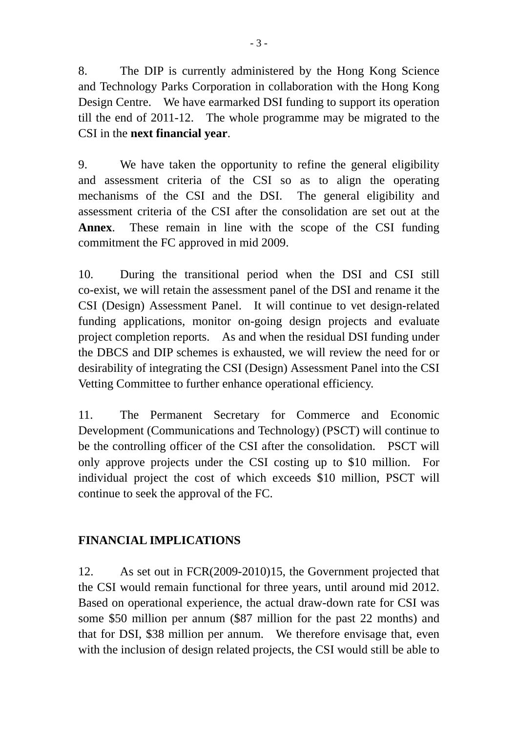8. The DIP is currently administered by the Hong Kong Science and Technology Parks Corporation in collaboration with the Hong Kong Design Centre. We have earmarked DSI funding to support its operation till the end of 2011-12. The whole programme may be migrated to the CSI in the **next financial year**.

9. We have taken the opportunity to refine the general eligibility and assessment criteria of the CSI so as to align the operating mechanisms of the CSI and the DSI. The general eligibility and assessment criteria of the CSI after the consolidation are set out at the **Annex**. These remain in line with the scope of the CSI funding commitment the FC approved in mid 2009.

10. During the transitional period when the DSI and CSI still co-exist, we will retain the assessment panel of the DSI and rename it the CSI (Design) Assessment Panel. It will continue to vet design-related funding applications, monitor on-going design projects and evaluate project completion reports. As and when the residual DSI funding under the DBCS and DIP schemes is exhausted, we will review the need for or desirability of integrating the CSI (Design) Assessment Panel into the CSI Vetting Committee to further enhance operational efficiency.

11. The Permanent Secretary for Commerce and Economic Development (Communications and Technology) (PSCT) will continue to be the controlling officer of the CSI after the consolidation. PSCT will only approve projects under the CSI costing up to \$10 million. For individual project the cost of which exceeds \$10 million, PSCT will continue to seek the approval of the FC.

## **FINANCIAL IMPLICATIONS**

12. As set out in FCR(2009-2010)15, the Government projected that the CSI would remain functional for three years, until around mid 2012. Based on operational experience, the actual draw-down rate for CSI was some \$50 million per annum (\$87 million for the past 22 months) and that for DSI, \$38 million per annum. We therefore envisage that, even with the inclusion of design related projects, the CSI would still be able to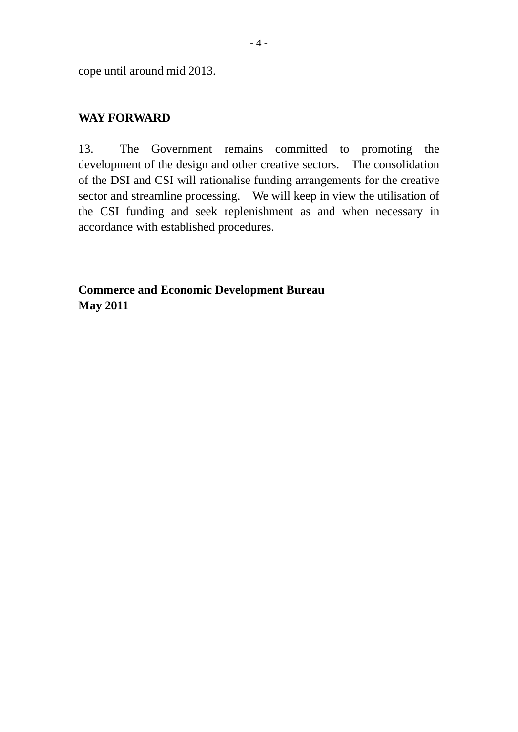cope until around mid 2013.

#### **WAY FORWARD**

13. The Government remains committed to promoting the development of the design and other creative sectors. The consolidation of the DSI and CSI will rationalise funding arrangements for the creative sector and streamline processing. We will keep in view the utilisation of the CSI funding and seek replenishment as and when necessary in accordance with established procedures.

**Commerce and Economic Development Bureau May 2011**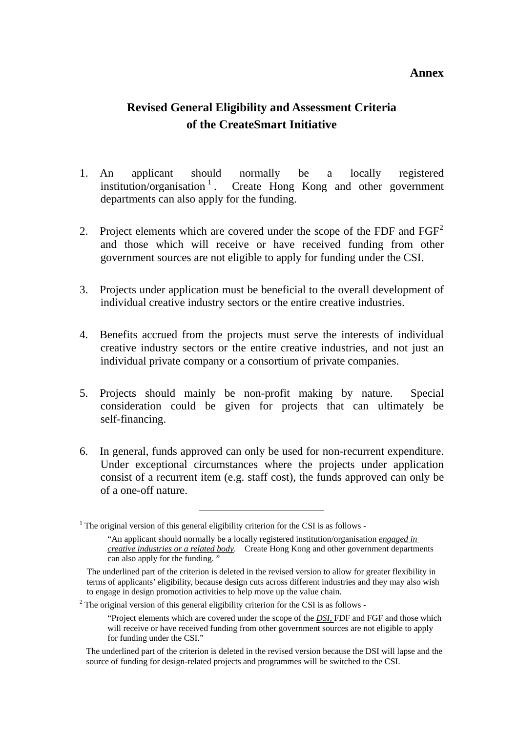#### **Annex**

## **Revised General Eligibility and Assessment Criteria of the CreateSmart Initiative**

- 1. An applicant should normally be a locally registered institution/organisation  $\frac{1}{1}$  $\frac{1}{1}$  $\frac{1}{1}$ . Create Hong Kong and other government departments can also apply for the funding.
- [2](#page-4-1). Project elements which are covered under the scope of the FDF and  $FGF<sup>2</sup>$ and those which will receive or have received funding from other government sources are not eligible to apply for funding under the CSI.
- 3. Projects under application must be beneficial to the overall development of individual creative industry sectors or the entire creative industries.
- 4. Benefits accrued from the projects must serve the interests of individual creative industry sectors or the entire creative industries, and not just an individual private company or a consortium of private companies.
- 5. Projects should mainly be non-profit making by nature. Special consideration could be given for projects that can ultimately be self-financing.
- 6. In general, funds approved can only be used for non-recurrent expenditure. Under exceptional circumstances where the projects under application consist of a recurrent item (e.g. staff cost), the funds approved can only be of a one-off nature.

<span id="page-4-0"></span><sup>&</sup>lt;sup>1</sup> The original version of this general eligibility criterion for the CSI is as follows -

<sup>&</sup>quot;An applicant should normally be a locally registered institution/organisation *engaged in creative industries or a related body*. Create Hong Kong and other government departments can also apply for the funding. "

The underlined part of the criterion is deleted in the revised version to allow for greater flexibility in terms of applicants' eligibility, because design cuts across different industries and they may also wish to engage in design promotion activities to help move up the value chain.

<span id="page-4-1"></span> $2$ <sup>2</sup> The original version of this general eligibility criterion for the CSI is as follows -

<sup>&</sup>quot;Project elements which are covered under the scope of the *DSI,* FDF and FGF and those which will receive or have received funding from other government sources are not eligible to apply for funding under the CSI."

The underlined part of the criterion is deleted in the revised version because the DSI will lapse and the source of funding for design-related projects and programmes will be switched to the CSI.